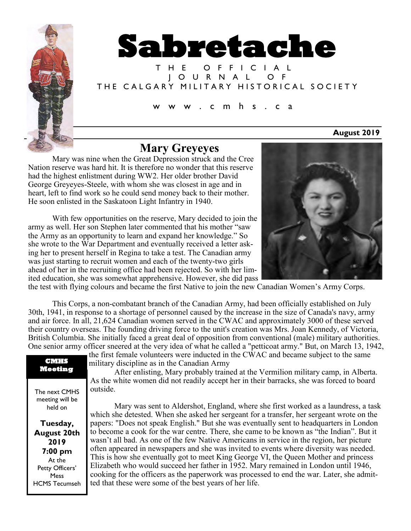



T H E O F F I C I A L J O U R N A L O F THE CALGARY MILITARY HISTORICAL SOCIETY

c m h s . c a

**August 2019**

# **Mary Greyeyes**

Mary was nine when the Great Depression struck and the Cree Nation reserve was hard hit. It is therefore no wonder that this reserve had the highest enlistment during WW2. Her older brother David George Greyeyes-Steele, with whom she was closest in age and in heart, left to find work so he could send money back to their mother. He soon enlisted in the Saskatoon Light Infantry in 1940.

With few opportunities on the reserve, Mary decided to join the army as well. Her son Stephen later commented that his mother "saw the Army as an opportunity to learn and expand her knowledge." So she wrote to the War Department and eventually received a letter asking her to present herself in Regina to take a test. The Canadian army was just starting to recruit women and each of the twenty-two girls ahead of her in the recruiting office had been rejected. So with her limited education, she was somewhat apprehensive. However, she did pass



the test with flying colours and became the first Native to join the new Canadian Women's Army Corps.

This Corps, a non-combatant branch of the Canadian Army, had been officially established on July 30th, 1941, in response to a shortage of personnel caused by the increase in the size of Canada's navy, army and air force. In all, 21,624 Canadian women served in the CWAC and approximately 3000 of these served their country overseas. The founding driving force to the unit's creation was Mrs. Joan Kennedy, of Victoria, British Columbia. She initially faced a great deal of opposition from conventional (male) military authorities. One senior army officer sneered at the very idea of what he called a "petticoat army." But, on March 13, 1942,

### **CMHS Meeting**

The next CMHS meeting will be held on

**Tuesday, August 20th 2019 7:00 pm** At the Petty Officers' Mess HCMS Tecumseh

military discipline as in the Canadian Army After enlisting, Mary probably trained at the Vermilion military camp, in Alberta. As the white women did not readily accept her in their barracks, she was forced to board outside.

the first female volunteers were inducted in the CWAC and became subject to the same

Mary was sent to Aldershot, England, where she first worked as a laundress, a task which she detested. When she asked her sergeant for a transfer, her sergeant wrote on the papers: "Does not speak English." But she was eventually sent to headquarters in London to become a cook for the war centre. There, she came to be known as "the Indian". But it wasn't all bad. As one of the few Native Americans in service in the region, her picture often appeared in newspapers and she was invited to events where diversity was needed. This is how she eventually got to meet King George VI, the Queen Mother and princess Elizabeth who would succeed her father in 1952. Mary remained in London until 1946, cooking for the officers as the paperwork was processed to end the war. Later, she admitted that these were some of the best years of her life.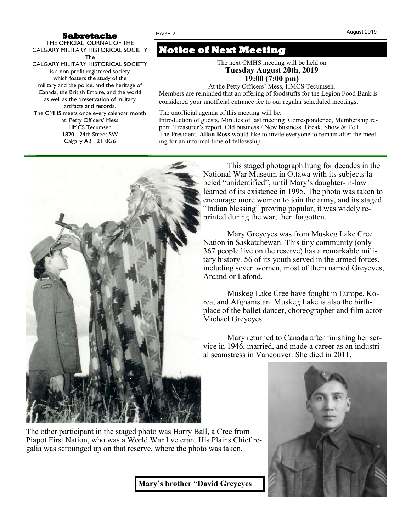### **Sabretache**

THE OFFICIAL JOURNAL OF THE CALGARY MILITARY HISTORICAL SOCIETY The CALGARY MILITARY HISTORICAL SOCIETY is a non-profit registered society which fosters the study of the military and the police, and the heritage of Canada, the British Empire, and the world as well as the preservation of military artifacts and records. The CMHS meets once every calendar month at: Petty Officers' Mess HMCS Tecumseh 1820 - 24th Street SW Calgary AB T2T 0G6

# **Notice of Next Meeting**

The next CMHS meeting will be held on **Tuesday August 20th, 2019 19:00 (7:00 pm)**

At the Petty Officers' Mess, HMCS Tecumseh. Members are reminded that an offering of foodstuffs for the Legion Food Bank is considered your unofficial entrance fee to our regular scheduled meetings*.*

The unofficial agenda of this meeting will be:

Introduction of guests, Minutes of last meeting Correspondence, Membership report Treasurer's report, Old business / New business Break, Show & Tell The President, **Allan Ross** would like to invite everyone to remain after the meeting for an informal time of fellowship.



This staged photograph hung for decades in the National War Museum in Ottawa with its subjects labeled "unidentified", until Mary's daughter-in-law learned of its existence in 1995. The photo was taken to encourage more women to join the army, and its staged "Indian blessing" proving popular, it was widely reprinted during the war, then forgotten.

Mary Greyeyes was from Muskeg Lake Cree Nation in Saskatchewan. This tiny community (only 367 people live on the reserve) has a remarkable military history. 56 of its youth served in the armed forces, including seven women, most of them named Greyeyes, Arcand or Lafond.

Muskeg Lake Cree have fought in Europe, Korea, and Afghanistan. Muskeg Lake is also the birthplace of the ballet dancer, choreographer and film actor Michael Greyeyes.

Mary returned to Canada after finishing her service in 1946, married, and made a career as an industrial seamstress in Vancouver. She died in 2011.



The other participant in the staged photo was Harry Ball, a Cree from Piapot First Nation, who was a World War I veteran. His Plains Chief regalia was scrounged up on that reserve, where the photo was taken.

**Mary's brother "David Greyeyes**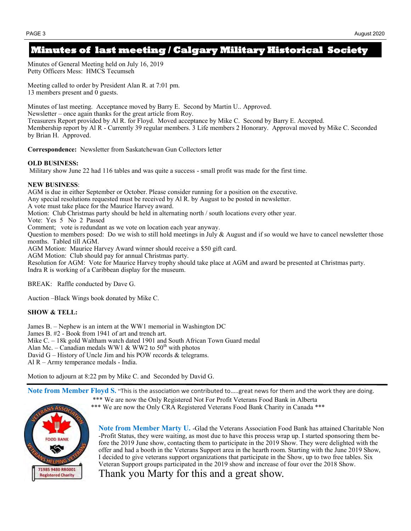## **Minutes of last meeting / Calgary Military Historical Society**

Minutes of General Meeting held on July 16, 2019 Petty Officers Mess: HMCS Tecumseh

Meeting called to order by President Alan R. at 7:01 pm. 13 members present and 0 guests.

Minutes of last meeting. Acceptance moved by Barry E. Second by Martin U.. Approved. Newsletter – once again thanks for the great article from Roy. Treasurers Report provided by Al R. for Floyd. Moved acceptance by Mike C. Second by Barry E. Accepted. Membership report by Al R - Currently 39 regular members. 3 Life members 2 Honorary. Approval moved by Mike C. Seconded by Brian H. Approved.

**Correspondence:** Newsletter from Saskatchewan Gun Collectors letter

#### **OLD BUSINESS:**

Military show June 22 had 116 tables and was quite a success - small profit was made for the first time.

#### **NEW BUSINESS**:

AGM is due in either September or October. Please consider running for a position on the executive. Any special resolutions requested must be received by Al R. by August to be posted in newsletter. A vote must take place for the Maurice Harvey award. Motion: Club Christmas party should be held in alternating north / south locations every other year. Vote: Yes 5 No 2 Passed Comment; vote is redundant as we vote on location each year anyway. Question to members posed: Do we wish to still hold meetings in July & August and if so would we have to cancel newsletter those months. Tabled till AGM. AGM Motion: Maurice Harvey Award winner should receive a \$50 gift card. AGM Motion: Club should pay for annual Christmas party. Resolution for AGM: Vote for Maurice Harvey trophy should take place at AGM and award be presented at Christmas party. Indra R is working of a Caribbean display for the museum.

BREAK: Raffle conducted by Dave G.

Auction –Black Wings book donated by Mike C.

### **SHOW & TELL:**

James B. – Nephew is an intern at the WW1 memorial in Washington DC James B. #2 - Book from 1941 of art and trench art. Mike C. – 18k gold Waltham watch dated 1901 and South African Town Guard medal Alan Mc. – Canadian medals WW1 & WW2 to  $50<sup>th</sup>$  with photos David G – History of Uncle Jim and his POW records & telegrams. Al R – Army temperance medals - India.

Motion to adjourn at 8:22 pm by Mike C. and Seconded by David G.

**Note from Member Floyd S.** "This is the association we contributed to…..great news for them and the work they are doing.

**OOD BANK** 71985 9480 RR0001 **Registered Charity** 

\*\*\* We are now the Only Registered Not For Profit Veterans Food Bank in Alberta \*\*\* We are now the Only CRA Registered Veterans Food Bank Charity in Canada \*\*\*

**Note from Member Marty U.** -Glad the Veterans Association Food Bank has attained Charitable Non -Profit Status, they were waiting, as most due to have this process wrap up. I started sponsoring them before the 2019 June show, contacting them to participate in the 2019 Show. They were delighted with the offer and had a booth in the Veterans Support area in the hearth room. Starting with the June 2019 Show, I decided to give veterans support organizations that participate in the Show, up to two free tables. Six Veteran Support groups participated in the 2019 show and increase of four over the 2018 Show. Thank you Marty for this and a great show.